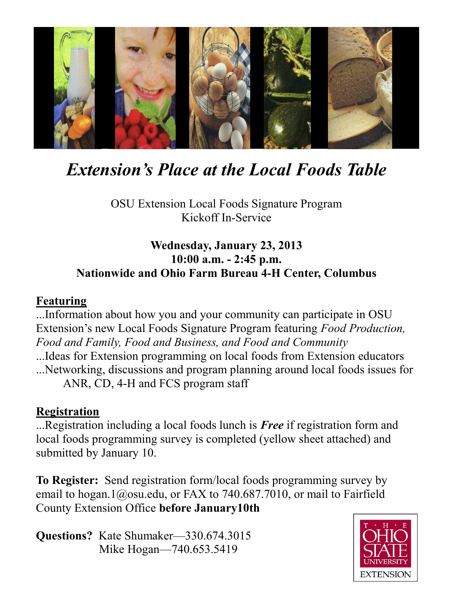

# *Extension's Place at the Local Foods Table*

OSU Extension Local Foods Signature Program Kickoff In-Service

### **Wednesday, January 23, 2013 10:00 a.m. - 2:45 p.m. Nationwide and Ohio Farm Bureau 4-H Center, Columbus**

#### **Featuring**

...Information about how you and your community can participate in OSU Extension's new Local Foods Signature Program featuring *Food Production, Food and Family, Food and Business, and Food and Community* ...Ideas for Extension programming on local foods from Extension educators ...Networking, discussions and program planning around local foods issues for ANR, CD, 4-H and FCS program staff

#### **Registration**

...Registration including a local foods lunch is *Free* if registration form and local foods programming survey is completed (yellow sheet attached) and submitted by January 10.

**To Register:** Send registration form/local foods programming survey by email to hogan.1@osu.edu, or FAX to 740.687.7010, or mail to Fairfield County Extension Office **before January10th**

**Questions?** Kate Shumaker—330.674.3015 Mike Hogan—740.653.5419

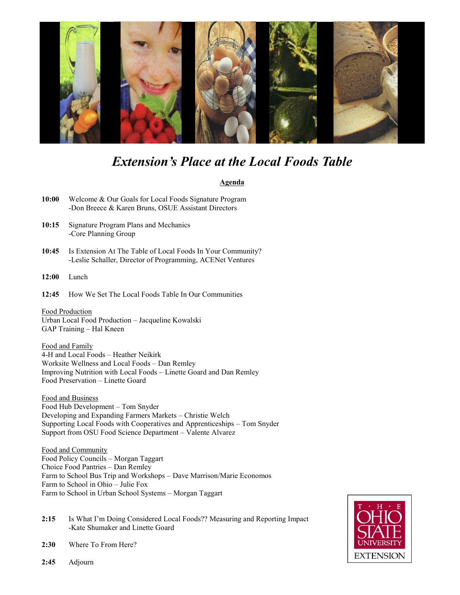

## *Extension's Place at the Local Foods Table*

#### **Agenda**

- **10:00** Welcome & Our Goals for Local Foods Signature Program -Don Breece & Karen Bruns, OSUE Assistant Directors
- **10:15** Signature Program Plans and Mechanics -Core Planning Group
- **10:45** Is Extension At The Table of Local Foods In Your Community? -Leslie Schaller, Director of Programming, ACENet Ventures
- **12:00** Lunch
- **12:45** How We Set The Local Foods Table In Our Communities

Food Production Urban Local Food Production – Jacqueline Kowalski GAP Training – Hal Kneen

Food and Family 4-H and Local Foods – Heather Neikirk Worksite Wellness and Local Foods – Dan Remley Improving Nutrition with Local Foods – Linette Goard and Dan Remley Food Preservation – Linette Goard

Food and Business Food Hub Development – Tom Snyder Developing and Expanding Farmers Markets – Christie Welch Supporting Local Foods with Cooperatives and Apprenticeships – Tom Snyder Support from OSU Food Science Department – Valente Alvarez

Food and Community Food Policy Councils – Morgan Taggart Choice Food Pantries – Dan Remley Farm to School Bus Trip and Workshops – Dave Marrison/Marie Economos Farm to School in Ohio – Julie Fox Farm to School in Urban School Systems – Morgan Taggart

**2:15** Is What I'm Doing Considered Local Foods?? Measuring and Reporting Impact -Kate Shumaker and Linette Goard



- **2:30** Where To From Here?
- **2:45** Adjourn